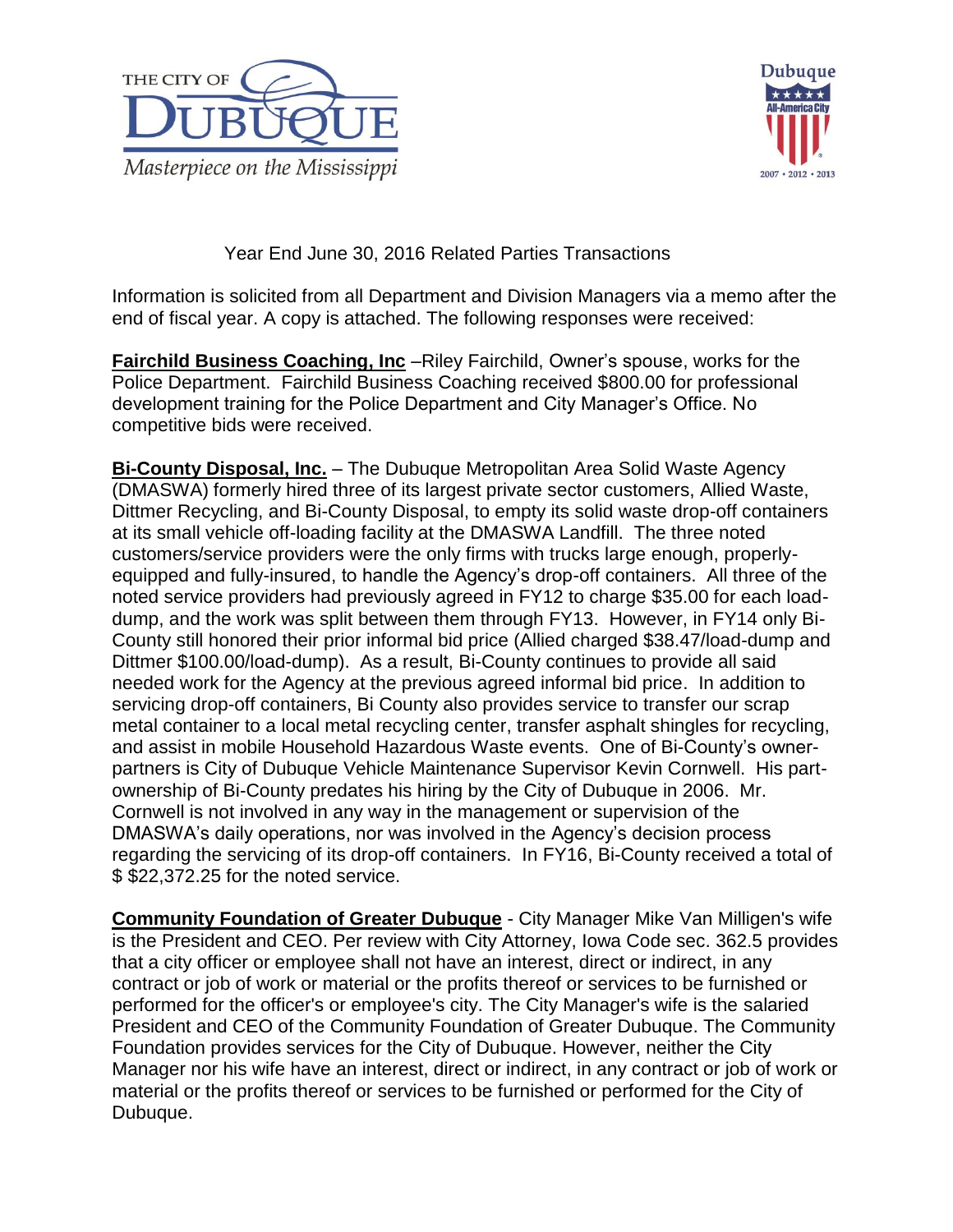



Year End June 30, 2016 Related Parties Transactions

Information is solicited from all Department and Division Managers via a memo after the end of fiscal year. A copy is attached. The following responses were received:

**Fairchild Business Coaching, Inc** –Riley Fairchild, Owner's spouse, works for the Police Department. Fairchild Business Coaching received \$800.00 for professional development training for the Police Department and City Manager's Office. No competitive bids were received.

**Bi-County Disposal, Inc.** – The Dubuque Metropolitan Area Solid Waste Agency (DMASWA) formerly hired three of its largest private sector customers, Allied Waste, Dittmer Recycling, and Bi-County Disposal, to empty its solid waste drop-off containers at its small vehicle off-loading facility at the DMASWA Landfill. The three noted customers/service providers were the only firms with trucks large enough, properlyequipped and fully-insured, to handle the Agency's drop-off containers. All three of the noted service providers had previously agreed in FY12 to charge \$35.00 for each loaddump, and the work was split between them through FY13. However, in FY14 only Bi-County still honored their prior informal bid price (Allied charged \$38.47/load-dump and Dittmer \$100.00/load-dump). As a result, Bi-County continues to provide all said needed work for the Agency at the previous agreed informal bid price. In addition to servicing drop-off containers, Bi County also provides service to transfer our scrap metal container to a local metal recycling center, transfer asphalt shingles for recycling, and assist in mobile Household Hazardous Waste events. One of Bi-County's ownerpartners is City of Dubuque Vehicle Maintenance Supervisor Kevin Cornwell. His partownership of Bi-County predates his hiring by the City of Dubuque in 2006. Mr. Cornwell is not involved in any way in the management or supervision of the DMASWA's daily operations, nor was involved in the Agency's decision process regarding the servicing of its drop-off containers. In FY16, Bi-County received a total of \$ \$22,372.25 for the noted service.

**Community Foundation of Greater Dubuque** - City Manager Mike Van Milligen's wife is the President and CEO. Per review with City Attorney, Iowa Code sec. 362.5 provides that a city officer or employee shall not have an interest, direct or indirect, in any contract or job of work or material or the profits thereof or services to be furnished or performed for the officer's or employee's city. The City Manager's wife is the salaried President and CEO of the Community Foundation of Greater Dubuque. The Community Foundation provides services for the City of Dubuque. However, neither the City Manager nor his wife have an interest, direct or indirect, in any contract or job of work or material or the profits thereof or services to be furnished or performed for the City of Dubuque.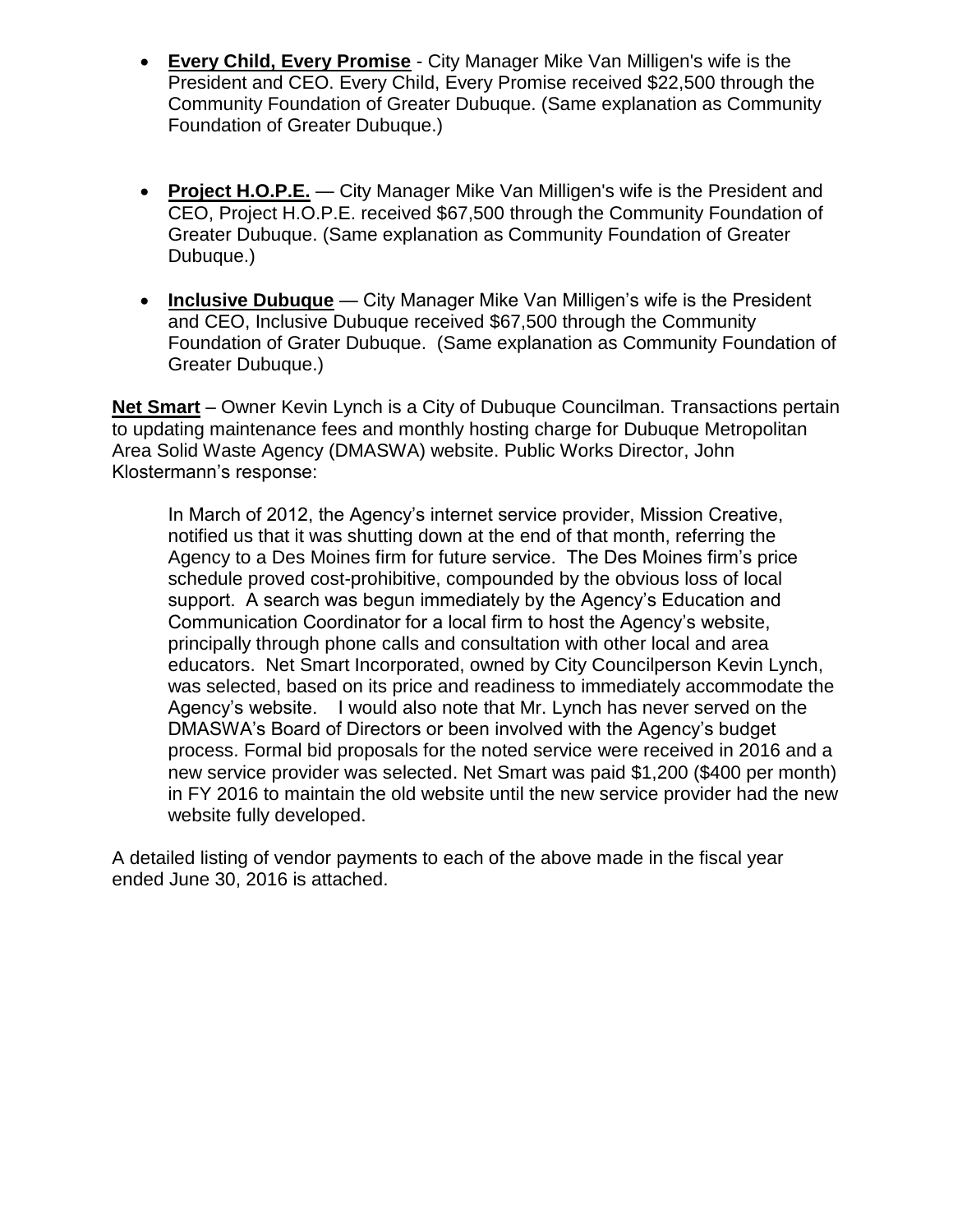- **Every Child, Every Promise** City Manager Mike Van Milligen's wife is the President and CEO. Every Child, Every Promise received \$22,500 through the Community Foundation of Greater Dubuque. (Same explanation as Community Foundation of Greater Dubuque.)
- **Project H.O.P.E.** City Manager Mike Van Milligen's wife is the President and CEO, Project H.O.P.E. received \$67,500 through the Community Foundation of Greater Dubuque. (Same explanation as Community Foundation of Greater Dubuque.)
- **Inclusive Dubuque** City Manager Mike Van Milligen's wife is the President and CEO, Inclusive Dubuque received \$67,500 through the Community Foundation of Grater Dubuque. (Same explanation as Community Foundation of Greater Dubuque.)

**Net Smart** – Owner Kevin Lynch is a City of Dubuque Councilman. Transactions pertain to updating maintenance fees and monthly hosting charge for Dubuque Metropolitan Area Solid Waste Agency (DMASWA) website. Public Works Director, John Klostermann's response:

In March of 2012, the Agency's internet service provider, Mission Creative, notified us that it was shutting down at the end of that month, referring the Agency to a Des Moines firm for future service. The Des Moines firm's price schedule proved cost-prohibitive, compounded by the obvious loss of local support. A search was begun immediately by the Agency's Education and Communication Coordinator for a local firm to host the Agency's website, principally through phone calls and consultation with other local and area educators. Net Smart Incorporated, owned by City Councilperson Kevin Lynch, was selected, based on its price and readiness to immediately accommodate the Agency's website. I would also note that Mr. Lynch has never served on the DMASWA's Board of Directors or been involved with the Agency's budget process. Formal bid proposals for the noted service were received in 2016 and a new service provider was selected. Net Smart was paid \$1,200 (\$400 per month) in FY 2016 to maintain the old website until the new service provider had the new website fully developed.

A detailed listing of vendor payments to each of the above made in the fiscal year ended June 30, 2016 is attached.